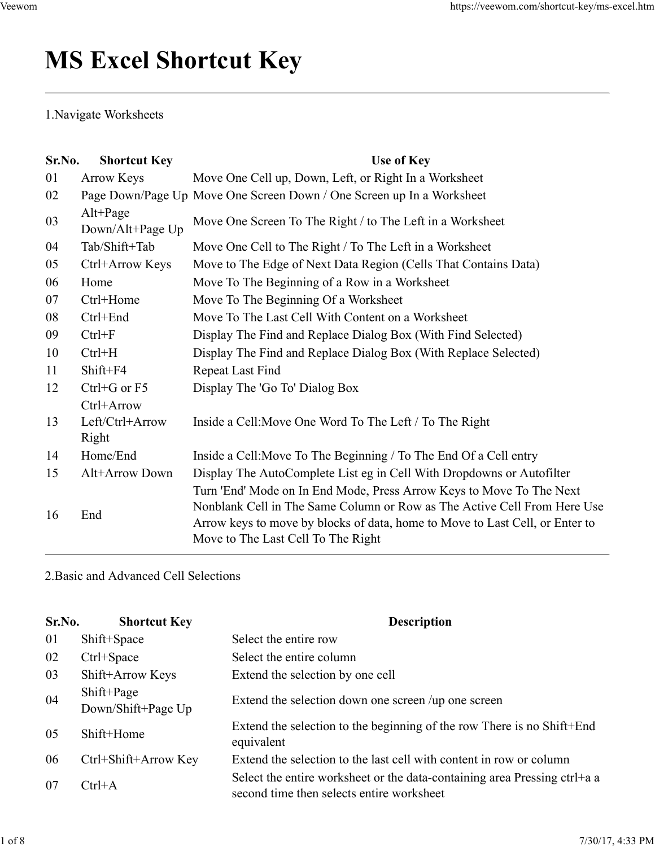# MS Excel Shortcut Key Veewom https://veewom.com/shortcut-key/ms-excel.htm <br> ${\bf MS\ Excel\ Shortcut\ Key}$

|                        | <b>MS Excel Shortcut Key</b>           | https://veewom.com/shortcut-key/ms-excel.htm                                                                                                                                                                                                                           |  |  |  |  |
|------------------------|----------------------------------------|------------------------------------------------------------------------------------------------------------------------------------------------------------------------------------------------------------------------------------------------------------------------|--|--|--|--|
| 1. Navigate Worksheets |                                        |                                                                                                                                                                                                                                                                        |  |  |  |  |
| Sr.No.                 | <b>Shortcut Key</b>                    | Use of Key                                                                                                                                                                                                                                                             |  |  |  |  |
| 01                     | <b>Arrow Keys</b>                      | Move One Cell up, Down, Left, or Right In a Worksheet                                                                                                                                                                                                                  |  |  |  |  |
| 02                     |                                        | Page Down/Page Up Move One Screen Down / One Screen up In a Worksheet                                                                                                                                                                                                  |  |  |  |  |
| 03                     | $Alt+Page$<br>Down/Alt+Page Up         | Move One Screen To The Right / to The Left in a Worksheet                                                                                                                                                                                                              |  |  |  |  |
| 04                     | Tab/Shift+Tab                          | Move One Cell to The Right / To The Left in a Worksheet                                                                                                                                                                                                                |  |  |  |  |
| 05                     | Ctrl+Arrow Keys                        | Move to The Edge of Next Data Region (Cells That Contains Data)                                                                                                                                                                                                        |  |  |  |  |
| 06                     | Home                                   | Move To The Beginning of a Row in a Worksheet                                                                                                                                                                                                                          |  |  |  |  |
| 07                     | Ctrl+Home                              | Move To The Beginning Of a Worksheet                                                                                                                                                                                                                                   |  |  |  |  |
| 08                     | Ctrl+End                               | Move To The Last Cell With Content on a Worksheet                                                                                                                                                                                                                      |  |  |  |  |
| 09                     | $Ctrl + F$                             | Display The Find and Replace Dialog Box (With Find Selected)                                                                                                                                                                                                           |  |  |  |  |
| 10                     | $Ctrl+H$                               | Display The Find and Replace Dialog Box (With Replace Selected)                                                                                                                                                                                                        |  |  |  |  |
| 11                     | Shift+F4                               | Repeat Last Find                                                                                                                                                                                                                                                       |  |  |  |  |
| 12                     | Ctrl+G or F5                           | Display The 'Go To' Dialog Box                                                                                                                                                                                                                                         |  |  |  |  |
| 13                     | Ctrl+Arrow<br>Left/Ctrl+Arrow<br>Right | Inside a Cell: Move One Word To The Left / To The Right                                                                                                                                                                                                                |  |  |  |  |
| 14                     | Home/End                               | Inside a Cell: Move To The Beginning / To The End Of a Cell entry                                                                                                                                                                                                      |  |  |  |  |
| 15                     | Alt+Arrow Down                         | Display The AutoComplete List eg in Cell With Dropdowns or Autofilter                                                                                                                                                                                                  |  |  |  |  |
| 16                     | End                                    | Turn 'End' Mode on In End Mode, Press Arrow Keys to Move To The Next<br>Nonblank Cell in The Same Column or Row as The Active Cell From Here Use<br>Arrow keys to move by blocks of data, home to Move to Last Cell, or Enter to<br>Move to The Last Cell To The Right |  |  |  |  |
|                        | 2. Basic and Advanced Cell Selections  |                                                                                                                                                                                                                                                                        |  |  |  |  |
| Sr.No.                 | <b>Shortcut Key</b>                    | <b>Description</b>                                                                                                                                                                                                                                                     |  |  |  |  |
| 01                     | Shift+Space                            | Select the entire row                                                                                                                                                                                                                                                  |  |  |  |  |
| 02                     | Ctrl+Space                             | Select the entire column                                                                                                                                                                                                                                               |  |  |  |  |
| 03                     | Shift+Arrow Keys                       | Extend the selection by one cell                                                                                                                                                                                                                                       |  |  |  |  |
|                        | Shift+Page                             |                                                                                                                                                                                                                                                                        |  |  |  |  |
| 04                     | Down/Shift+Page Up                     | Extend the selection down one screen /up one screen                                                                                                                                                                                                                    |  |  |  |  |
| 05                     | Shift+Home                             | Extend the selection to the beginning of the row There is no Shift+End<br>equivalent                                                                                                                                                                                   |  |  |  |  |

|        | 11000 DIN                             | mside a Centrole To The Degmining to The End Of a Centently                                                                                                                                                                                                            |
|--------|---------------------------------------|------------------------------------------------------------------------------------------------------------------------------------------------------------------------------------------------------------------------------------------------------------------------|
| 15     | Alt+Arrow Down                        | Display The AutoComplete List eg in Cell With Dropdowns or Autofilter                                                                                                                                                                                                  |
| 16     | End                                   | Turn 'End' Mode on In End Mode, Press Arrow Keys to Move To The Next<br>Nonblank Cell in The Same Column or Row as The Active Cell From Here Use<br>Arrow keys to move by blocks of data, home to Move to Last Cell, or Enter to<br>Move to The Last Cell To The Right |
|        | 2. Basic and Advanced Cell Selections |                                                                                                                                                                                                                                                                        |
| Sr.No. | <b>Shortcut Key</b>                   | <b>Description</b>                                                                                                                                                                                                                                                     |
| 01     | Shift+Space                           | Select the entire row                                                                                                                                                                                                                                                  |
| 02     | Ctrl+Space                            | Select the entire column                                                                                                                                                                                                                                               |
| 03     | Shift+Arrow Keys                      | Extend the selection by one cell                                                                                                                                                                                                                                       |
| 04     | Shift+Page<br>Down/Shift+Page Up      | Extend the selection down one screen /up one screen                                                                                                                                                                                                                    |
| 05     | Shift+Home                            | Extend the selection to the beginning of the row There is no Shift+End<br>equivalent                                                                                                                                                                                   |
| 06     | Ctrl+Shift+Arrow Key                  | Extend the selection to the last cell with content in row or column                                                                                                                                                                                                    |
| 07     | $Ctrl+A$                              | Select the entire worksheet or the data-containing area Pressing ctrl+a a<br>second time then selects entire worksheet                                                                                                                                                 |
|        |                                       |                                                                                                                                                                                                                                                                        |
|        |                                       | 7/30/17, 4:33 PM                                                                                                                                                                                                                                                       |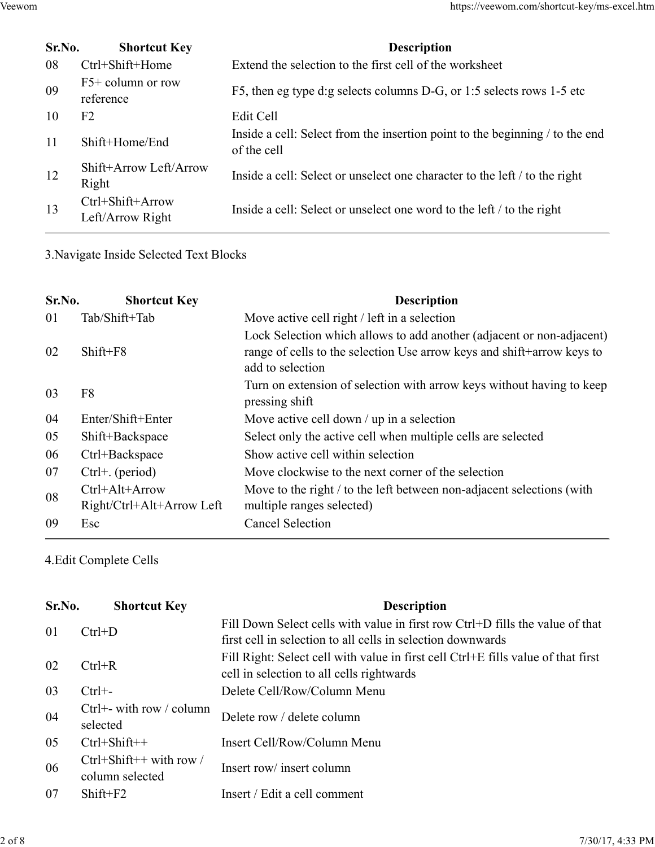| Veewom |                                      | https://veewom.com/shortcut-key/ms-excel.htm                                                |
|--------|--------------------------------------|---------------------------------------------------------------------------------------------|
|        |                                      |                                                                                             |
| Sr.No. | <b>Shortcut Key</b>                  | <b>Description</b>                                                                          |
| 08     | Ctrl+Shift+Home                      | Extend the selection to the first cell of the worksheet                                     |
| 09     | $F5+$ column or row<br>reference     | F5, then eg type d:g selects columns D-G, or 1:5 selects rows 1-5 etc                       |
| 10     | F <sub>2</sub>                       | Edit Cell                                                                                   |
| 11     | Shift+Home/End                       | Inside a cell: Select from the insertion point to the beginning / to the end<br>of the cell |
| 12     | Shift+Arrow Left/Arrow<br>Right      | Inside a cell: Select or unselect one character to the left / to the right                  |
| 13     | Ctrl+Shift+Arrow<br>Left/Arrow Right | Inside a cell: Select or unselect one word to the left / to the right                       |

| $10^{\circ}$ | r∠                                          | ngil Cell                                                                                                                                                           |  |
|--------------|---------------------------------------------|---------------------------------------------------------------------------------------------------------------------------------------------------------------------|--|
| 11           | Shift+Home/End                              | Inside a cell: Select from the insertion point to the beginning / to the end<br>of the cell                                                                         |  |
| 12           | Shift+Arrow Left/Arrow<br>Right             | Inside a cell: Select or unselect one character to the left / to the right                                                                                          |  |
| 13           | Ctrl+Shift+Arrow<br>Left/Arrow Right        | Inside a cell: Select or unselect one word to the left / to the right                                                                                               |  |
|              | 3. Navigate Inside Selected Text Blocks     |                                                                                                                                                                     |  |
| Sr.No.       | <b>Shortcut Key</b>                         | <b>Description</b>                                                                                                                                                  |  |
| 01           | Tab/Shift+Tab                               | Move active cell right / left in a selection                                                                                                                        |  |
| 02           | Shift+F8                                    | Lock Selection which allows to add another (adjacent or non-adjacent)<br>range of cells to the selection Use arrow keys and shift+arrow keys to<br>add to selection |  |
| 03           | F <sub>8</sub>                              | Turn on extension of selection with arrow keys without having to keep<br>pressing shift                                                                             |  |
| 04           | Enter/Shift+Enter                           | Move active cell down $\ell$ up in a selection                                                                                                                      |  |
| 05           | Shift+Backspace                             | Select only the active cell when multiple cells are selected                                                                                                        |  |
| 06           | Ctrl+Backspace                              | Show active cell within selection                                                                                                                                   |  |
| 07           | Ctrl+. (period)                             | Move clockwise to the next corner of the selection                                                                                                                  |  |
| 08           | Ctrl+Alt+Arrow<br>Right/Ctrl+Alt+Arrow Left | Move to the right / to the left between non-adjacent selections (with<br>multiple ranges selected)                                                                  |  |
| 09           | Esc                                         | <b>Cancel Selection</b>                                                                                                                                             |  |
|              | 4. Edit Complete Cells                      |                                                                                                                                                                     |  |
| Sr.No.       | <b>Shortcut Key</b>                         | <b>Description</b>                                                                                                                                                  |  |
| 01           | $Ctrl + D$                                  | Fill Down Select cells with value in first row Ctrl+D fills the value of that<br>first cell in selection to all cells in selection downwards                        |  |
| 02           | $Ctrl + R$                                  | Fill Right: Select cell with value in first cell Ctrl+E fills value of that first<br>cell in selection to all cells rightwards                                      |  |
| 03           | $Ctrl+$ -                                   | Delete Cell/Row/Column Menu                                                                                                                                         |  |
| 04           | Ctrl+- with row / column<br>selected        | Delete row / delete column                                                                                                                                          |  |
|              |                                             |                                                                                                                                                                     |  |

| Shift+Backspace<br>Select only the active cell when multiple cells are selected<br>Show active cell within selection<br>Ctrl+Backspace<br>Ctrl+. (period)<br>Move clockwise to the next corner of the selection<br>Ctrl+Alt+Arrow<br>Move to the right / to the left between non-adjacent selections (with<br>Right/Ctrl+Alt+Arrow Left<br>multiple ranges selected)<br><b>Cancel Selection</b><br>Esc<br><b>Shortcut Key</b><br><b>Description</b><br>Fill Down Select cells with value in first row Ctrl+D fills the value of that<br>$Ctrl + D$<br>first cell in selection to all cells in selection downwards<br>Fill Right: Select cell with value in first cell Ctrl+E fills value of that first<br>$Ctrl + R$<br>cell in selection to all cells rightwards<br>Delete Cell/Row/Column Menu<br>$Ctrl + -$<br>Ctrl+- with row / column<br>Delete row / delete column<br>selected<br>$Ctrl + Shift++$<br>Insert Cell/Row/Column Menu<br>Ctrl+Shift++ with row /<br>Insert row/ insert column<br>column selected<br>Shift+F2<br>Insert / Edit a cell comment | 04 | Enter/Shift+Enter | Move active cell down $\ell$ up in a selection |
|----------------------------------------------------------------------------------------------------------------------------------------------------------------------------------------------------------------------------------------------------------------------------------------------------------------------------------------------------------------------------------------------------------------------------------------------------------------------------------------------------------------------------------------------------------------------------------------------------------------------------------------------------------------------------------------------------------------------------------------------------------------------------------------------------------------------------------------------------------------------------------------------------------------------------------------------------------------------------------------------------------------------------------------------------------------|----|-------------------|------------------------------------------------|
| 06<br>07<br>08<br>09<br>4. Edit Complete Cells<br>Sr.No.<br>01<br>02<br>03<br>04<br>05<br>06<br>07                                                                                                                                                                                                                                                                                                                                                                                                                                                                                                                                                                                                                                                                                                                                                                                                                                                                                                                                                             | 05 |                   |                                                |
|                                                                                                                                                                                                                                                                                                                                                                                                                                                                                                                                                                                                                                                                                                                                                                                                                                                                                                                                                                                                                                                                |    |                   |                                                |
|                                                                                                                                                                                                                                                                                                                                                                                                                                                                                                                                                                                                                                                                                                                                                                                                                                                                                                                                                                                                                                                                |    |                   |                                                |
|                                                                                                                                                                                                                                                                                                                                                                                                                                                                                                                                                                                                                                                                                                                                                                                                                                                                                                                                                                                                                                                                |    |                   |                                                |
|                                                                                                                                                                                                                                                                                                                                                                                                                                                                                                                                                                                                                                                                                                                                                                                                                                                                                                                                                                                                                                                                |    |                   |                                                |
|                                                                                                                                                                                                                                                                                                                                                                                                                                                                                                                                                                                                                                                                                                                                                                                                                                                                                                                                                                                                                                                                |    |                   |                                                |
|                                                                                                                                                                                                                                                                                                                                                                                                                                                                                                                                                                                                                                                                                                                                                                                                                                                                                                                                                                                                                                                                |    |                   |                                                |
|                                                                                                                                                                                                                                                                                                                                                                                                                                                                                                                                                                                                                                                                                                                                                                                                                                                                                                                                                                                                                                                                |    |                   |                                                |
|                                                                                                                                                                                                                                                                                                                                                                                                                                                                                                                                                                                                                                                                                                                                                                                                                                                                                                                                                                                                                                                                |    |                   |                                                |
|                                                                                                                                                                                                                                                                                                                                                                                                                                                                                                                                                                                                                                                                                                                                                                                                                                                                                                                                                                                                                                                                |    |                   |                                                |
|                                                                                                                                                                                                                                                                                                                                                                                                                                                                                                                                                                                                                                                                                                                                                                                                                                                                                                                                                                                                                                                                |    |                   |                                                |
|                                                                                                                                                                                                                                                                                                                                                                                                                                                                                                                                                                                                                                                                                                                                                                                                                                                                                                                                                                                                                                                                |    |                   |                                                |
|                                                                                                                                                                                                                                                                                                                                                                                                                                                                                                                                                                                                                                                                                                                                                                                                                                                                                                                                                                                                                                                                |    |                   |                                                |
|                                                                                                                                                                                                                                                                                                                                                                                                                                                                                                                                                                                                                                                                                                                                                                                                                                                                                                                                                                                                                                                                |    |                   | 7/30/17, 4:33 PM                               |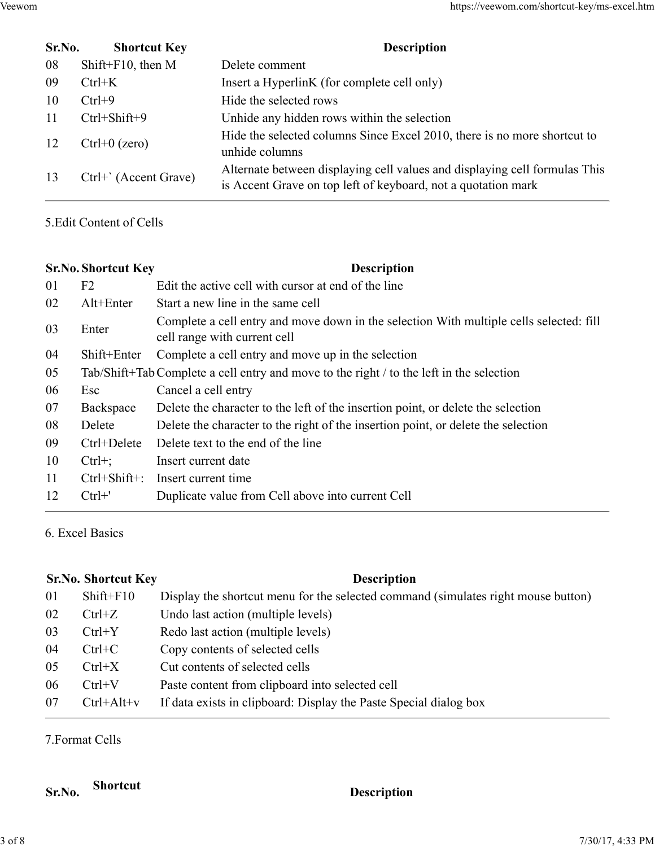| Veewom |        |                            |                     | https://veewom.com/shortcut-key/ms-excel.htm                                                                                                |
|--------|--------|----------------------------|---------------------|---------------------------------------------------------------------------------------------------------------------------------------------|
|        |        |                            |                     |                                                                                                                                             |
|        | Sr.No. |                            | <b>Shortcut Key</b> | <b>Description</b>                                                                                                                          |
|        | 08     | Shift+ $F10$ , then M      |                     | Delete comment                                                                                                                              |
|        | 09     | $Ctrl+K$                   |                     | Insert a HyperlinK (for complete cell only)                                                                                                 |
|        | 10     | $Ctrl + 9$                 |                     | Hide the selected rows                                                                                                                      |
|        | 11     | Ctrl+Shift+9               |                     | Unhide any hidden rows within the selection                                                                                                 |
|        | 12     | $Ctrl+0$ (zero)            |                     | Hide the selected columns Since Excel 2010, there is no more shortcut to<br>unhide columns                                                  |
|        | 13     | Ctrl+' (Accent Grave)      |                     | Alternate between displaying cell values and displaying cell formulas This<br>is Accent Grave on top left of keyboard, not a quotation mark |
|        |        | 5. Edit Content of Cells   |                     |                                                                                                                                             |
|        |        | <b>Sr.No. Shortcut Key</b> |                     | <b>Description</b>                                                                                                                          |
|        | 01     | F2                         |                     | Edit the active cell with cursor at end of the line                                                                                         |
|        |        | Alt+Enter                  |                     | Start a new line in the same cell                                                                                                           |
|        | 02     |                            |                     | Complete a cell entry and move down in the selection With multiple cells selected: fill<br>cell range with current cell                     |
|        | 03     | Enter                      |                     |                                                                                                                                             |
|        | 04     | Shift+Enter                |                     | Complete a cell entry and move up in the selection                                                                                          |
|        | 05     |                            |                     | Tab/Shift+Tab Complete a cell entry and move to the right / to the left in the selection                                                    |
|        | 06     | Esc                        | Cancel a cell entry |                                                                                                                                             |

| 09 | $Ctrl+K$                   |                     | Insert a HyperlinK (for complete cell only)                                                                                                 |  |  |  |
|----|----------------------------|---------------------|---------------------------------------------------------------------------------------------------------------------------------------------|--|--|--|
| 10 | $Ctrl + 9$                 |                     | Hide the selected rows                                                                                                                      |  |  |  |
| 11 | Ctrl+Shift+9               |                     | Unhide any hidden rows within the selection                                                                                                 |  |  |  |
| 12 | $Ctrl+0$ (zero)            |                     | Hide the selected columns Since Excel 2010, there is no more shortcut to<br>unhide columns                                                  |  |  |  |
| 13 | Ctrl+' (Accent Grave)      |                     | Alternate between displaying cell values and displaying cell formulas This<br>is Accent Grave on top left of keyboard, not a quotation mark |  |  |  |
|    | 5. Edit Content of Cells   |                     |                                                                                                                                             |  |  |  |
|    | <b>Sr.No. Shortcut Key</b> |                     | <b>Description</b>                                                                                                                          |  |  |  |
| 01 | F <sub>2</sub>             |                     | Edit the active cell with cursor at end of the line                                                                                         |  |  |  |
| 02 | Alt+Enter                  |                     | Start a new line in the same cell                                                                                                           |  |  |  |
| 03 | Enter                      |                     | Complete a cell entry and move down in the selection With multiple cells selected: fill<br>cell range with current cell                     |  |  |  |
| 04 | Shift+Enter                |                     | Complete a cell entry and move up in the selection                                                                                          |  |  |  |
| 05 |                            |                     | Tab/Shift+Tab Complete a cell entry and move to the right / to the left in the selection                                                    |  |  |  |
| 06 | Esc                        | Cancel a cell entry |                                                                                                                                             |  |  |  |
| 07 | Backspace                  |                     | Delete the character to the left of the insertion point, or delete the selection                                                            |  |  |  |
| 08 | Delete                     |                     | Delete the character to the right of the insertion point, or delete the selection                                                           |  |  |  |
| 09 | Ctrl+Delete                |                     | Delete text to the end of the line                                                                                                          |  |  |  |
| 10 | $Ctrl+;$                   | Insert current date |                                                                                                                                             |  |  |  |
| 11 | $Ctrl + Shift +$ :         | Insert current time |                                                                                                                                             |  |  |  |
| 12 | $Ctrl+$ '                  |                     | Duplicate value from Cell above into current Cell                                                                                           |  |  |  |
|    | 6. Excel Basics            |                     |                                                                                                                                             |  |  |  |
|    | <b>Sr.No. Shortcut Key</b> |                     | <b>Description</b>                                                                                                                          |  |  |  |
| 01 | $Shift+F10$                |                     | Display the shortcut menu for the selected command (simulates right mouse button)                                                           |  |  |  |
| 02 | $Ctrl + Z$                 |                     | Undo last action (multiple levels)                                                                                                          |  |  |  |
| 03 | $Ctrl+Y$                   |                     | Redo last action (multiple levels)                                                                                                          |  |  |  |
| 04 | $Ctrl+C$                   |                     | Copy contents of selected cells                                                                                                             |  |  |  |
| 05 | $Ctrl+X$                   |                     | Cut contents of selected cells                                                                                                              |  |  |  |
| 06 | $Ctrl+V$                   |                     | Paste content from clipboard into selected cell                                                                                             |  |  |  |
| 07 | $C$ trl+ $\Delta$ 1t+ $V$  |                     | If data exists in clinboard: Display the Paste Special dialog box                                                                           |  |  |  |

| 06     | Esc                        | Cancel a cell entry                                                               |
|--------|----------------------------|-----------------------------------------------------------------------------------|
| 07     | Backspace                  | Delete the character to the left of the insertion point, or delete the selection  |
| 08     | Delete                     | Delete the character to the right of the insertion point, or delete the selection |
| 09     | Ctrl+Delete                | Delete text to the end of the line                                                |
| 10     | $Ctrl+;$                   | Insert current date                                                               |
| 11     | $Ctrl + Shift +$ :         | Insert current time                                                               |
| 12     | $Ctrl+$ '                  | Duplicate value from Cell above into current Cell                                 |
|        | 6. Excel Basics            |                                                                                   |
|        | <b>Sr.No. Shortcut Key</b> | <b>Description</b>                                                                |
| 01     | Shift+F10                  | Display the shortcut menu for the selected command (simulates right mouse button) |
| 02     | $Ctrl+Z$                   | Undo last action (multiple levels)                                                |
| 03     | $Ctrl+Y$                   | Redo last action (multiple levels)                                                |
| 04     | $Ctrl+C$                   | Copy contents of selected cells                                                   |
| 05     | $Ctrl+X$                   | Cut contents of selected cells                                                    |
| 06     | $Ctrl+V$                   | Paste content from clipboard into selected cell                                   |
| 07     | $Ctrl+Alt+v$               | If data exists in clipboard: Display the Paste Special dialog box                 |
|        | 7. Format Cells            |                                                                                   |
| Sr.No. | <b>Shortcut</b>            | <b>Description</b>                                                                |
|        |                            | 7/30/17, 4:33 PM                                                                  |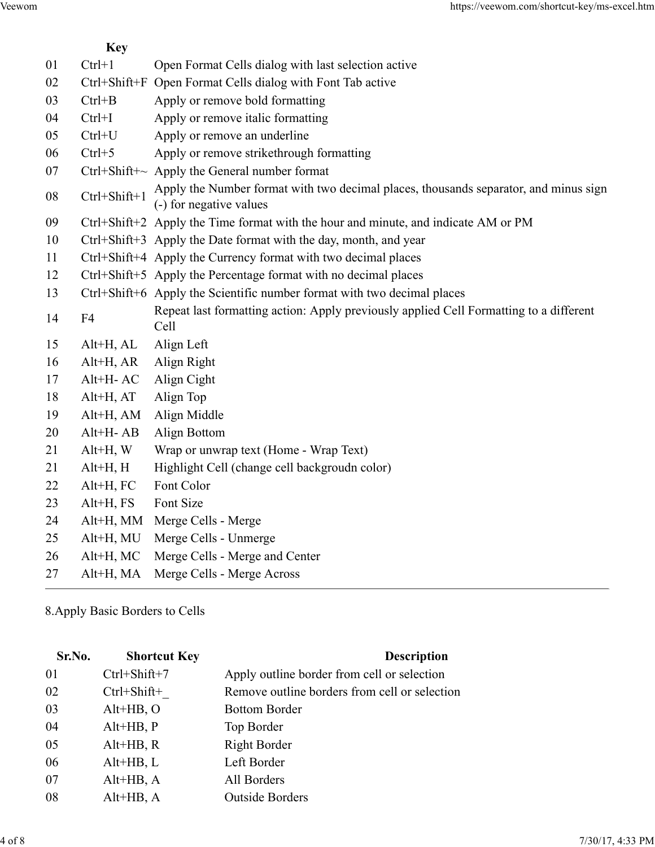|    |                                                                      | https://veewom.com/shortcut-key/ms-excel.htm                                                                                                              |
|----|----------------------------------------------------------------------|-----------------------------------------------------------------------------------------------------------------------------------------------------------|
|    | <b>Key</b>                                                           |                                                                                                                                                           |
| 01 | $Ctrl+1$                                                             | Open Format Cells dialog with last selection active                                                                                                       |
| 02 |                                                                      | Open Format Cells dialog with Font Tab active                                                                                                             |
| 03 | $Ctrl + B$                                                           | Apply or remove bold formatting                                                                                                                           |
|    |                                                                      | Apply or remove italic formatting                                                                                                                         |
|    |                                                                      | Apply or remove an underline                                                                                                                              |
|    |                                                                      | Apply or remove strikethrough formatting<br>Apply the General number format                                                                               |
| 08 | Ctrl+Shift+1                                                         | Apply the Number format with two decimal places, thousands separator, and minus sign<br>(-) for negative values                                           |
|    |                                                                      | Ctrl+Shift+2 Apply the Time format with the hour and minute, and indicate AM or PM                                                                        |
|    |                                                                      | Ctrl+Shift+3 Apply the Date format with the day, month, and year                                                                                          |
| 11 |                                                                      | Ctrl+Shift+4 Apply the Currency format with two decimal places                                                                                            |
| 12 |                                                                      | Ctrl+Shift+5 Apply the Percentage format with no decimal places                                                                                           |
| 13 |                                                                      | Ctrl+Shift+6 Apply the Scientific number format with two decimal places                                                                                   |
| 14 | F <sub>4</sub>                                                       | Repeat last formatting action: Apply previously applied Cell Formatting to a different<br>Cell                                                            |
| 15 | Alt+H, AL                                                            | Align Left                                                                                                                                                |
| 16 | $Alt+H, AR$                                                          | Align Right                                                                                                                                               |
| 17 | $Alt+H-AC$                                                           | Align Cight                                                                                                                                               |
| 18 | $Alt+H, AT$                                                          | Align Top                                                                                                                                                 |
| 19 | $Alt+H$ , AM                                                         | Align Middle                                                                                                                                              |
|    |                                                                      | Align Bottom                                                                                                                                              |
|    |                                                                      | Wrap or unwrap text (Home - Wrap Text)                                                                                                                    |
|    |                                                                      | Highlight Cell (change cell backgroudn color)                                                                                                             |
|    |                                                                      | Font Color<br>Font Size                                                                                                                                   |
|    |                                                                      | Alt+H, MM Merge Cells - Merge                                                                                                                             |
| 25 | $Alt+H$ , MU                                                         | Merge Cells - Unmerge                                                                                                                                     |
|    | Alt+H, MC                                                            | Merge Cells - Merge and Center                                                                                                                            |
| 26 |                                                                      | Alt+H, MA Merge Cells - Merge Across                                                                                                                      |
|    | 04<br>05<br>06<br>07<br>09<br>10<br>20<br>21<br>21<br>22<br>23<br>24 | $Ctrl + Shift + F$<br>$Ctrl+I$<br>$Ctrl+U$<br>$Ctrl + 5$<br>$Ctrl + Shift + \sim$<br>$Alt+H-AB$<br>$Alt+H, W$<br>$Alt+H, H$<br>$Alt+H, FC$<br>$Alt+H, FS$ |

|    | $\angle 1$ | АКТП, П                         | Highlight Cell (change cell backgrough color) |                  |
|----|------------|---------------------------------|-----------------------------------------------|------------------|
|    | 22         | Alt+H, FC<br>Font Color         |                                               |                  |
|    | 23         | $Alt+H, FS$<br>Font Size        |                                               |                  |
|    | 24         | Alt+H, MM Merge Cells - Merge   |                                               |                  |
|    | 25         | Alt+H, MU                       | Merge Cells - Unmerge                         |                  |
|    | 26         | Alt+H, MC                       | Merge Cells - Merge and Center                |                  |
|    | 27         | Alt+H, MA                       | Merge Cells - Merge Across                    |                  |
|    |            | 8. Apply Basic Borders to Cells |                                               |                  |
|    | Sr.No.     | <b>Shortcut Key</b>             | <b>Description</b>                            |                  |
| 01 |            | $Ctrl + Shift + 7$              | Apply outline border from cell or selection   |                  |
|    | 02         | $Ctrl + Shift+$                 | Remove outline borders from cell or selection |                  |
|    | 03         | $Alt+HB, O$                     | <b>Bottom Border</b>                          |                  |
|    | 04         | $Alt+HB, P$                     | Top Border                                    |                  |
|    | 05         | $Alt+HB, R$                     | <b>Right Border</b>                           |                  |
|    | 06         | $Alt+HB, L$                     | Left Border                                   |                  |
|    | 07         | $Alt+HB, A$                     | All Borders                                   |                  |
|    | $08\,$     | $Alt+HB, A$                     | <b>Outside Borders</b>                        |                  |
|    |            |                                 |                                               |                  |
|    |            |                                 |                                               | 7/30/17, 4:33 PM |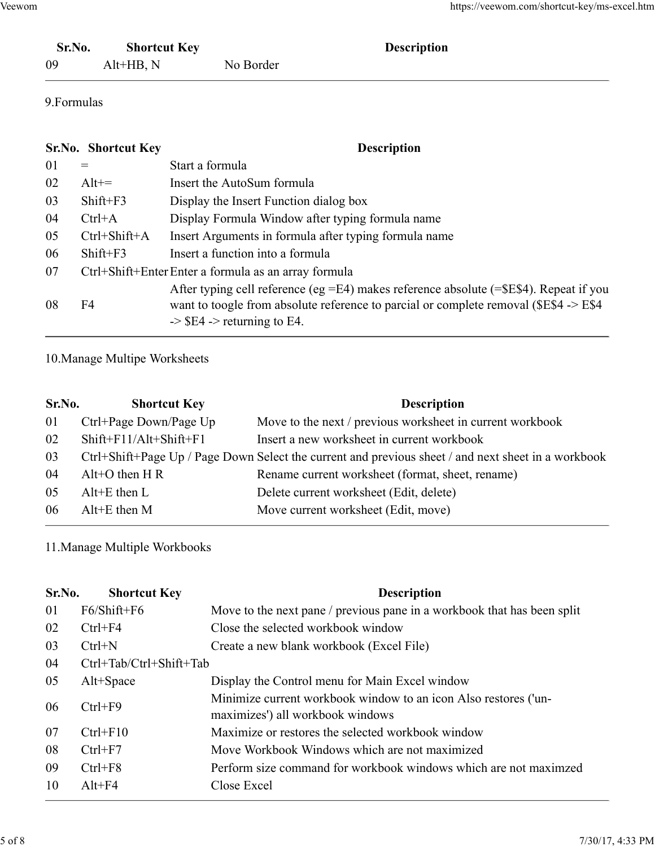|        |                     |             | https://veewom.com/shortcut-key/ms-excel.htm |
|--------|---------------------|-------------|----------------------------------------------|
| Veewom |                     |             |                                              |
| Sr.No. | <b>Shortcut Key</b> | Description |                                              |

## 9.Formulas

| Sr.No.      |                                    |                                                   | https://veewom.com/shortcut-key/ms-excel.htm                                                                                                                                           |  |  |
|-------------|------------------------------------|---------------------------------------------------|----------------------------------------------------------------------------------------------------------------------------------------------------------------------------------------|--|--|
|             |                                    |                                                   |                                                                                                                                                                                        |  |  |
|             |                                    |                                                   |                                                                                                                                                                                        |  |  |
| 09          | <b>Shortcut Key</b><br>$Alt+HB, N$ |                                                   | <b>Description</b><br>No Border                                                                                                                                                        |  |  |
| 9. Formulas |                                    |                                                   |                                                                                                                                                                                        |  |  |
|             |                                    |                                                   |                                                                                                                                                                                        |  |  |
|             | Sr.No. Shortcut Key                |                                                   | <b>Description</b>                                                                                                                                                                     |  |  |
| 01          | $=$                                | Start a formula                                   |                                                                                                                                                                                        |  |  |
| 02          | $Alt +=$                           |                                                   | Insert the AutoSum formula                                                                                                                                                             |  |  |
| 03          | $Shift+F3$                         |                                                   | Display the Insert Function dialog box                                                                                                                                                 |  |  |
| 04          | $Ctrl+A$                           |                                                   | Display Formula Window after typing formula name                                                                                                                                       |  |  |
| 05          | Ctrl+Shift+A                       |                                                   | Insert Arguments in formula after typing formula name                                                                                                                                  |  |  |
| 06          | Shift+F3                           | Insert a function into a formula                  |                                                                                                                                                                                        |  |  |
| 07          |                                    |                                                   | Ctrl+Shift+Enter Enter a formula as an array formula                                                                                                                                   |  |  |
| 08          | F4                                 | $\Rightarrow$ \$E4 $\Rightarrow$ returning to E4. | After typing cell reference (eg $=$ E4) makes reference absolute ( $=$ \$E\$4). Repeat if you<br>want to toogle from absolute reference to parcial or complete removal (\$E\$4 -> E\$4 |  |  |
|             | 10. Manage Multipe Worksheets      |                                                   |                                                                                                                                                                                        |  |  |
| Sr.No.      |                                    | <b>Shortcut Key</b>                               | <b>Description</b>                                                                                                                                                                     |  |  |
| 01          | Ctrl+Page Down/Page Up             |                                                   | Move to the next / previous worksheet in current workbook                                                                                                                              |  |  |
| 02          | Shift+F11/Alt+Shift+F1             |                                                   | Insert a new worksheet in current workbook                                                                                                                                             |  |  |
| 03          |                                    |                                                   | Ctrl+Shift+Page Up / Page Down Select the current and previous sheet / and next sheet in a workbook                                                                                    |  |  |
| 04          | Alt+O then $H R$                   |                                                   | Rename current worksheet (format, sheet, rename)                                                                                                                                       |  |  |
| 05          | $Alt+E$ then $L$                   |                                                   | Delete current worksheet (Edit, delete)                                                                                                                                                |  |  |
| 06          | $Alt+E$ then $M$                   |                                                   | Move current worksheet (Edit, move)                                                                                                                                                    |  |  |

| 04     | $Ctrl+A$                      |                                                   | Display Formula Window after typing formula name                                                                                                                                |
|--------|-------------------------------|---------------------------------------------------|---------------------------------------------------------------------------------------------------------------------------------------------------------------------------------|
| 05     | Ctrl+Shift+A                  |                                                   | Insert Arguments in formula after typing formula name                                                                                                                           |
| 06     | Shift+F3                      |                                                   | Insert a function into a formula                                                                                                                                                |
| 07     |                               |                                                   | Ctrl+Shift+Enter Enter a formula as an array formula                                                                                                                            |
| 08     | F <sub>4</sub>                | $\Rightarrow$ \$E4 $\Rightarrow$ returning to E4. | After typing cell reference (eg =E4) makes reference absolute (=\$E\$4). Repeat if you<br>want to toogle from absolute reference to parcial or complete removal (\$E\$4 -> E\$4 |
|        | 10. Manage Multipe Worksheets |                                                   |                                                                                                                                                                                 |
| Sr.No. |                               | <b>Shortcut Key</b>                               | <b>Description</b>                                                                                                                                                              |
| 01     | Ctrl+Page Down/Page Up        |                                                   | Move to the next / previous worksheet in current workbook                                                                                                                       |
| 02     | Shift+F11/Alt+Shift+F1        |                                                   | Insert a new worksheet in current workbook                                                                                                                                      |
| 03     |                               |                                                   | Ctrl+Shift+Page Up / Page Down Select the current and previous sheet / and next sheet in a workbook                                                                             |
| 04     | Alt+O then $H R$              |                                                   | Rename current worksheet (format, sheet, rename)                                                                                                                                |
| 05     | $Alt+E$ then $L$              |                                                   | Delete current worksheet (Edit, delete)                                                                                                                                         |
| 06     | Alt+E then M                  |                                                   | Move current worksheet (Edit, move)                                                                                                                                             |
|        | 11. Manage Multiple Workbooks |                                                   |                                                                                                                                                                                 |
| Sr.No. | <b>Shortcut Key</b>           |                                                   | <b>Description</b>                                                                                                                                                              |
| 01     | F6/Shift+F6                   |                                                   | Move to the next pane / previous pane in a workbook that has been split                                                                                                         |
| 02     | $Ctrl + F4$                   |                                                   | Close the selected workbook window                                                                                                                                              |
| 03     | $Ctrl+N$                      |                                                   | Create a new blank workbook (Excel File)                                                                                                                                        |
| 04     | Ctrl+Tab/Ctrl+Shift+Tab       |                                                   |                                                                                                                                                                                 |
| 05     | Alt+Space                     |                                                   | Display the Control menu for Main Excel window                                                                                                                                  |
|        |                               |                                                   | Minimize current workhook window to an icon Also restores (un-                                                                                                                  |

| Sr.No. | <b>Shortcut Key</b>           | Description                                                                                         |
|--------|-------------------------------|-----------------------------------------------------------------------------------------------------|
| 01     | Ctrl+Page Down/Page Up        | Move to the next / previous worksheet in current workbook                                           |
| 02     | Shift+F11/Alt+Shift+F1        | Insert a new worksheet in current workbook                                                          |
| 03     |                               | Ctrl+Shift+Page Up / Page Down Select the current and previous sheet / and next sheet in a workbook |
| 04     | Alt+O then $H R$              | Rename current worksheet (format, sheet, rename)                                                    |
| 05     | $Alt+E$ then $L$              | Delete current worksheet (Edit, delete)                                                             |
| 06     | $Alt+E$ then $M$              | Move current worksheet (Edit, move)                                                                 |
|        | 11. Manage Multiple Workbooks |                                                                                                     |
| Sr.No. | <b>Shortcut Key</b>           | <b>Description</b>                                                                                  |
| 01     | F6/Shift+F6                   | Move to the next pane / previous pane in a workbook that has been split                             |
| 02     | $Ctrl + F4$                   | Close the selected workbook window                                                                  |
| 03     | $Ctrl+N$                      | Create a new blank workbook (Excel File)                                                            |
| 04     | Ctrl+Tab/Ctrl+Shift+Tab       |                                                                                                     |
| 05     | Alt+Space                     | Display the Control menu for Main Excel window                                                      |
| 06     | $Ctrl + F9$                   | Minimize current workbook window to an icon Also restores ('un-<br>maximizes') all workbook windows |
| 07     | $Ctrl + F10$                  | Maximize or restores the selected workbook window                                                   |
| 08     | $Ctrl + F7$                   | Move Workbook Windows which are not maximized                                                       |
| 09     | $Ctrl + F8$                   | Perform size command for workbook windows which are not maximzed                                    |
|        | $Alt+F4$                      | Close Excel                                                                                         |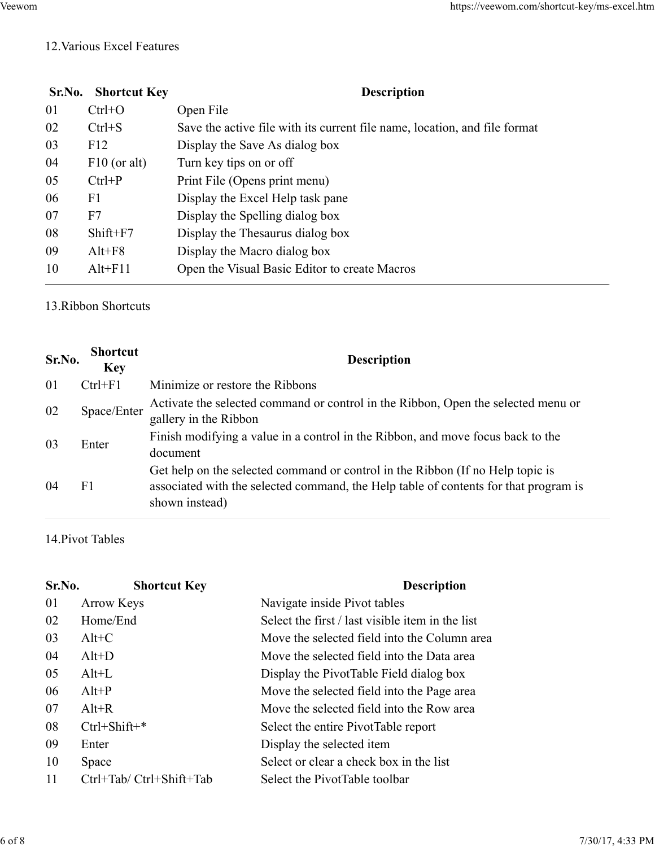## 12.Various Excel Features

|        |                               | https://veewom.com/shortcut-key/ms-excel.htm                                                               |
|--------|-------------------------------|------------------------------------------------------------------------------------------------------------|
|        |                               |                                                                                                            |
|        | 12. Various Excel Features    |                                                                                                            |
|        |                               |                                                                                                            |
| Sr.No. | <b>Shortcut Key</b>           | <b>Description</b>                                                                                         |
| 01     | $Ctrl + O$                    | Open File                                                                                                  |
| 02     | $Ctrl + S$                    | Save the active file with its current file name, location, and file format                                 |
| 03     | F12                           | Display the Save As dialog box                                                                             |
| 04     | $F10$ (or alt)                | Turn key tips on or off                                                                                    |
| 05     | $Ctrl + P$                    | Print File (Opens print menu)                                                                              |
| 06     | F <sub>1</sub>                | Display the Excel Help task pane                                                                           |
| 07     | F7                            | Display the Spelling dialog box                                                                            |
| 08     | $Shift+F7$                    | Display the Thesaurus dialog box                                                                           |
| 09     | $Alt+F8$                      | Display the Macro dialog box                                                                               |
| 10     | $Alt + F11$                   | Open the Visual Basic Editor to create Macros                                                              |
|        | 13. Ribbon Shortcuts          |                                                                                                            |
| Sr.No. | <b>Shortcut</b><br><b>Key</b> | <b>Description</b>                                                                                         |
| 01     | $Ctrl + F1$                   | Minimize or restore the Ribbons                                                                            |
| 02     | Space/Enter                   | Activate the selected command or control in the Ribbon, Open the selected menu or<br>gallery in the Ribbon |
| 03     | Enter                         | Finish modifying a value in a control in the Ribbon, and move focus back to the<br>document                |
|        |                               | Get help on the selected command or control in the Ribbon (If no Help topic is                             |

| 05     | $Ctrl + P$                    |                                 | Print File (Opens print menu)                                                                                                                                          |
|--------|-------------------------------|---------------------------------|------------------------------------------------------------------------------------------------------------------------------------------------------------------------|
| 06     | F1                            |                                 | Display the Excel Help task pane                                                                                                                                       |
| 07     | F7                            |                                 | Display the Spelling dialog box                                                                                                                                        |
| 08     | Shift+F7                      |                                 | Display the Thesaurus dialog box                                                                                                                                       |
| 09     | $Alt + F8$                    |                                 | Display the Macro dialog box                                                                                                                                           |
| 10     | $Alt + F11$                   |                                 | Open the Visual Basic Editor to create Macros                                                                                                                          |
|        | 13. Ribbon Shortcuts          |                                 |                                                                                                                                                                        |
| Sr.No. | <b>Shortcut</b><br><b>Key</b> |                                 | <b>Description</b>                                                                                                                                                     |
| 01     | $Ctrl + F1$                   | Minimize or restore the Ribbons |                                                                                                                                                                        |
| 02     | Space/Enter                   | gallery in the Ribbon           | Activate the selected command or control in the Ribbon, Open the selected menu or                                                                                      |
| 03     | Enter                         | document                        | Finish modifying a value in a control in the Ribbon, and move focus back to the                                                                                        |
| 04     | F1                            | shown instead)                  | Get help on the selected command or control in the Ribbon (If no Help topic is<br>associated with the selected command, the Help table of contents for that program is |
|        | 14. Pivot Tables              |                                 |                                                                                                                                                                        |
| Sr.No. |                               | <b>Shortcut Key</b>             | <b>Description</b>                                                                                                                                                     |
| 01     | <b>Arrow Keys</b>             |                                 | Navigate inside Pivot tables                                                                                                                                           |
| 02     | Home/End                      |                                 | Select the first / last visible item in the list                                                                                                                       |
| 03     | $Alt+C$                       |                                 | Move the selected field into the Column area                                                                                                                           |
| 04     | $Alt+D$                       |                                 | Move the selected field into the Data area                                                                                                                             |
| 05     | $Alt+L$                       |                                 | Display the PivotTable Field dialog box                                                                                                                                |
| 06     | $Alt+P$                       |                                 | Move the selected field into the Page area                                                                                                                             |
| 07     | $Alt+R$                       |                                 | Move the selected field into the Row area                                                                                                                              |
| 08     | $C$ trl+Shift+*               |                                 | Select the entire PivotTable report                                                                                                                                    |

| Finish modifying a value in a control in the Ribbon, and move focus back to the<br>Enter<br>document<br>Get help on the selected command or control in the Ribbon (If no Help topic is<br>F1<br>associated with the selected command, the Help table of contents for that program is<br>shown instead)<br>14. Pivot Tables<br>Sr.No.<br><b>Shortcut Key</b><br><b>Description</b><br><b>Arrow Keys</b><br>Navigate inside Pivot tables<br>Select the first / last visible item in the list<br>Home/End<br>02<br>Move the selected field into the Column area<br>$Alt+C$<br>03<br>Move the selected field into the Data area<br>04<br>$Alt+D$<br>$Alt+L$<br>05<br>Display the PivotTable Field dialog box<br>$Alt+P$<br>Move the selected field into the Page area<br>$Alt+R$<br>Move the selected field into the Row area<br>Ctrl+Shift+*<br>Select the entire PivotTable report<br>Display the selected item<br>09<br>Enter<br>Select or clear a check box in the list<br>10<br>Space<br>Ctrl+Tab/ Ctrl+Shift+Tab<br>Select the PivotTable toolbar<br>11<br>7/30/17, 4:33 PM | 02 | Space/Enter | gallery in the Ribbon | Activate the selected command or control in the Ribbon, Open the selected menu or |  |
|-------------------------------------------------------------------------------------------------------------------------------------------------------------------------------------------------------------------------------------------------------------------------------------------------------------------------------------------------------------------------------------------------------------------------------------------------------------------------------------------------------------------------------------------------------------------------------------------------------------------------------------------------------------------------------------------------------------------------------------------------------------------------------------------------------------------------------------------------------------------------------------------------------------------------------------------------------------------------------------------------------------------------------------------------------------------------------|----|-------------|-----------------------|-----------------------------------------------------------------------------------|--|
|                                                                                                                                                                                                                                                                                                                                                                                                                                                                                                                                                                                                                                                                                                                                                                                                                                                                                                                                                                                                                                                                               | 03 |             |                       |                                                                                   |  |
|                                                                                                                                                                                                                                                                                                                                                                                                                                                                                                                                                                                                                                                                                                                                                                                                                                                                                                                                                                                                                                                                               | 04 |             |                       |                                                                                   |  |
|                                                                                                                                                                                                                                                                                                                                                                                                                                                                                                                                                                                                                                                                                                                                                                                                                                                                                                                                                                                                                                                                               |    |             |                       |                                                                                   |  |
|                                                                                                                                                                                                                                                                                                                                                                                                                                                                                                                                                                                                                                                                                                                                                                                                                                                                                                                                                                                                                                                                               |    |             |                       |                                                                                   |  |
|                                                                                                                                                                                                                                                                                                                                                                                                                                                                                                                                                                                                                                                                                                                                                                                                                                                                                                                                                                                                                                                                               | 01 |             |                       |                                                                                   |  |
|                                                                                                                                                                                                                                                                                                                                                                                                                                                                                                                                                                                                                                                                                                                                                                                                                                                                                                                                                                                                                                                                               |    |             |                       |                                                                                   |  |
|                                                                                                                                                                                                                                                                                                                                                                                                                                                                                                                                                                                                                                                                                                                                                                                                                                                                                                                                                                                                                                                                               |    |             |                       |                                                                                   |  |
|                                                                                                                                                                                                                                                                                                                                                                                                                                                                                                                                                                                                                                                                                                                                                                                                                                                                                                                                                                                                                                                                               |    |             |                       |                                                                                   |  |
|                                                                                                                                                                                                                                                                                                                                                                                                                                                                                                                                                                                                                                                                                                                                                                                                                                                                                                                                                                                                                                                                               |    |             |                       |                                                                                   |  |
|                                                                                                                                                                                                                                                                                                                                                                                                                                                                                                                                                                                                                                                                                                                                                                                                                                                                                                                                                                                                                                                                               | 06 |             |                       |                                                                                   |  |
|                                                                                                                                                                                                                                                                                                                                                                                                                                                                                                                                                                                                                                                                                                                                                                                                                                                                                                                                                                                                                                                                               | 07 |             |                       |                                                                                   |  |
|                                                                                                                                                                                                                                                                                                                                                                                                                                                                                                                                                                                                                                                                                                                                                                                                                                                                                                                                                                                                                                                                               | 08 |             |                       |                                                                                   |  |
|                                                                                                                                                                                                                                                                                                                                                                                                                                                                                                                                                                                                                                                                                                                                                                                                                                                                                                                                                                                                                                                                               |    |             |                       |                                                                                   |  |
|                                                                                                                                                                                                                                                                                                                                                                                                                                                                                                                                                                                                                                                                                                                                                                                                                                                                                                                                                                                                                                                                               |    |             |                       |                                                                                   |  |
|                                                                                                                                                                                                                                                                                                                                                                                                                                                                                                                                                                                                                                                                                                                                                                                                                                                                                                                                                                                                                                                                               |    |             |                       |                                                                                   |  |
|                                                                                                                                                                                                                                                                                                                                                                                                                                                                                                                                                                                                                                                                                                                                                                                                                                                                                                                                                                                                                                                                               |    |             |                       |                                                                                   |  |
|                                                                                                                                                                                                                                                                                                                                                                                                                                                                                                                                                                                                                                                                                                                                                                                                                                                                                                                                                                                                                                                                               |    |             |                       |                                                                                   |  |
|                                                                                                                                                                                                                                                                                                                                                                                                                                                                                                                                                                                                                                                                                                                                                                                                                                                                                                                                                                                                                                                                               |    |             |                       |                                                                                   |  |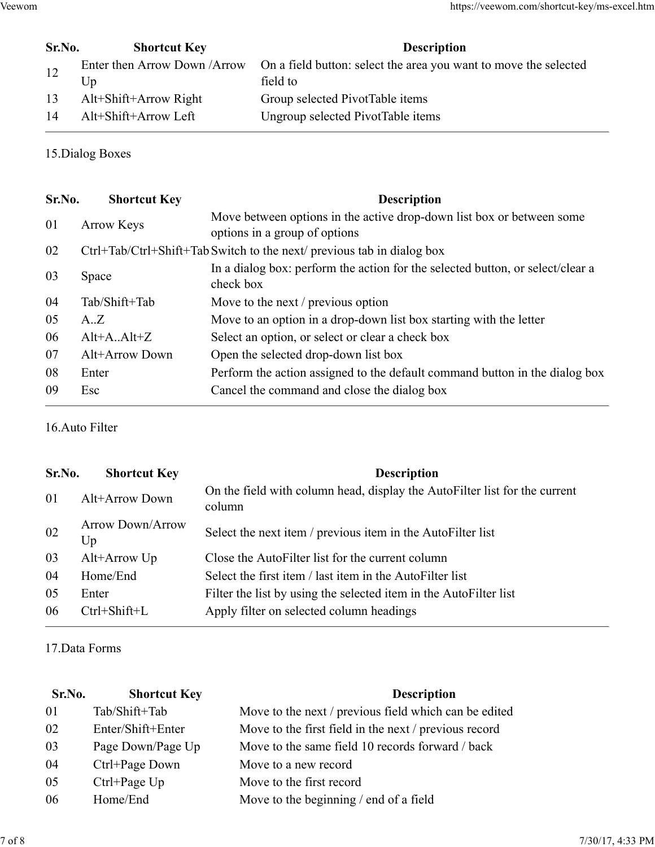|        |                                     | https://veewom.com/shortcut-key/ms-excel.htm                                                           |  |
|--------|-------------------------------------|--------------------------------------------------------------------------------------------------------|--|
| Sr.No. | <b>Shortcut Key</b>                 | Description                                                                                            |  |
| 12     | Enter then Arrow Down / Arrow<br>Up | On a field button: select the area you want to move the selected<br>field to                           |  |
|        |                                     |                                                                                                        |  |
| 13     | Alt+Shift+Arrow Right               | Group selected PivotTable items                                                                        |  |
| 14     | Alt+Shift+Arrow Left                | Ungroup selected PivotTable items                                                                      |  |
|        | 15. Dialog Boxes                    |                                                                                                        |  |
|        |                                     |                                                                                                        |  |
| Sr.No. | <b>Shortcut Key</b>                 | <b>Description</b>                                                                                     |  |
| 01     | Arrow Keys                          | Move between options in the active drop-down list box or between some<br>options in a group of options |  |
| 02     |                                     | Ctrl+Tab/Ctrl+Shift+Tab Switch to the next/ previous tab in dialog box                                 |  |

|        |                                     | https://veewom.com/shortcut-key/ms-excel.htm                                                           |
|--------|-------------------------------------|--------------------------------------------------------------------------------------------------------|
| Sr.No. | <b>Shortcut Key</b>                 | <b>Description</b>                                                                                     |
| 12     | Enter then Arrow Down / Arrow<br>Up | On a field button: select the area you want to move the selected<br>field to                           |
| 13     | Alt+Shift+Arrow Right               | Group selected PivotTable items                                                                        |
| 14     | Alt+Shift+Arrow Left                | Ungroup selected PivotTable items                                                                      |
|        | 15. Dialog Boxes                    |                                                                                                        |
| Sr.No. | <b>Shortcut Key</b>                 | <b>Description</b>                                                                                     |
| 01     | <b>Arrow Keys</b>                   | Move between options in the active drop-down list box or between some<br>options in a group of options |
| 02     |                                     | Ctrl+Tab/Ctrl+Shift+Tab Switch to the next/ previous tab in dialog box                                 |
| 03     | Space                               | In a dialog box: perform the action for the selected button, or select/clear a<br>check box            |
| 04     | Tab/Shift+Tab                       | Move to the next / previous option                                                                     |
| 05     | A.Z                                 | Move to an option in a drop-down list box starting with the letter                                     |
| 06     | $Alt+A.Alt+Z$                       | Select an option, or select or clear a check box                                                       |
| 07     | Alt+Arrow Down                      | Open the selected drop-down list box                                                                   |
| 08     | Enter                               | Perform the action assigned to the default command button in the dialog box                            |
| 09     | Esc                                 | Cancel the command and close the dialog box                                                            |
|        | 16. Auto Filter                     |                                                                                                        |
| Sr.No. | <b>Shortcut Key</b>                 | <b>Description</b>                                                                                     |
| 01     | Alt+Arrow Down                      | On the field with column head, display the AutoFilter list for the current<br>column                   |
| 02     | <b>Arrow Down/Arrow</b><br>Up       | Select the next item / previous item in the AutoFilter list                                            |
| 03     | Alt+Arrow Up                        | Close the AutoFilter list for the current column                                                       |
|        |                                     |                                                                                                        |

|        |                               | check box                                                                            |
|--------|-------------------------------|--------------------------------------------------------------------------------------|
| 04     | Tab/Shift+Tab                 | Move to the next / previous option                                                   |
| 05     | A.Z                           | Move to an option in a drop-down list box starting with the letter                   |
| 06     | $Alt+A.Alt+Z$                 | Select an option, or select or clear a check box                                     |
| 07     | Alt+Arrow Down                | Open the selected drop-down list box                                                 |
| 08     | Enter                         | Perform the action assigned to the default command button in the dialog box          |
| 09     | Esc                           | Cancel the command and close the dialog box                                          |
|        | 16. Auto Filter               |                                                                                      |
| Sr.No. | <b>Shortcut Key</b>           | <b>Description</b>                                                                   |
| 01     | Alt+Arrow Down                | On the field with column head, display the AutoFilter list for the current<br>column |
| 02     | <b>Arrow Down/Arrow</b><br>Up | Select the next item / previous item in the AutoFilter list                          |
| 03     | Alt+Arrow Up                  | Close the AutoFilter list for the current column                                     |
| 04     | Home/End                      | Select the first item / last item in the AutoFilter list                             |
| 05     | Enter                         | Filter the list by using the selected item in the AutoFilter list                    |
| 06     | Ctrl+Shift+L                  | Apply filter on selected column headings                                             |
|        | 17. Data Forms                |                                                                                      |
| Sr.No. | <b>Shortcut Key</b>           | <b>Description</b>                                                                   |
| 01     | Tab/Shift+Tab                 | Move to the next / previous field which can be edited                                |
| 02     | Enter/Shift+Enter             | Move to the first field in the next / previous record                                |
| 03     | Page Down/Page Up             | Move to the same field 10 records forward / back                                     |
| 04     | Ctrl+Page Down                | Move to a new record                                                                 |
| 05     | Ctrl+Page Up                  | Move to the first record                                                             |
| 06     | Home/End                      | Move to the beginning / end of a field                                               |
|        |                               | 7/30/17, 4:33 PM                                                                     |
|        |                               |                                                                                      |

| 02     | Arrow Down/Arrow<br>Up | Select the next item / previous item in the AutoFilter list       |                  |
|--------|------------------------|-------------------------------------------------------------------|------------------|
| 03     | Alt+Arrow Up           | Close the AutoFilter list for the current column                  |                  |
| 04     | Home/End               | Select the first item / last item in the AutoFilter list          |                  |
| 05     | Enter                  | Filter the list by using the selected item in the AutoFilter list |                  |
| 06     | $Ctrl + Shift + L$     | Apply filter on selected column headings                          |                  |
|        | 17. Data Forms         |                                                                   |                  |
| Sr.No. | <b>Shortcut Key</b>    | <b>Description</b>                                                |                  |
| 01     | Tab/Shift+Tab          | Move to the next / previous field which can be edited             |                  |
| 02     | Enter/Shift+Enter      | Move to the first field in the next / previous record             |                  |
| 03     | Page Down/Page Up      | Move to the same field 10 records forward / back                  |                  |
| 04     | Ctrl+Page Down         | Move to a new record                                              |                  |
| 05     | $Ctrl+Page Up$         | Move to the first record                                          |                  |
| 06     | Home/End               | Move to the beginning $/$ end of a field                          |                  |
|        |                        |                                                                   |                  |
|        |                        |                                                                   | 7/30/17, 4:33 PM |